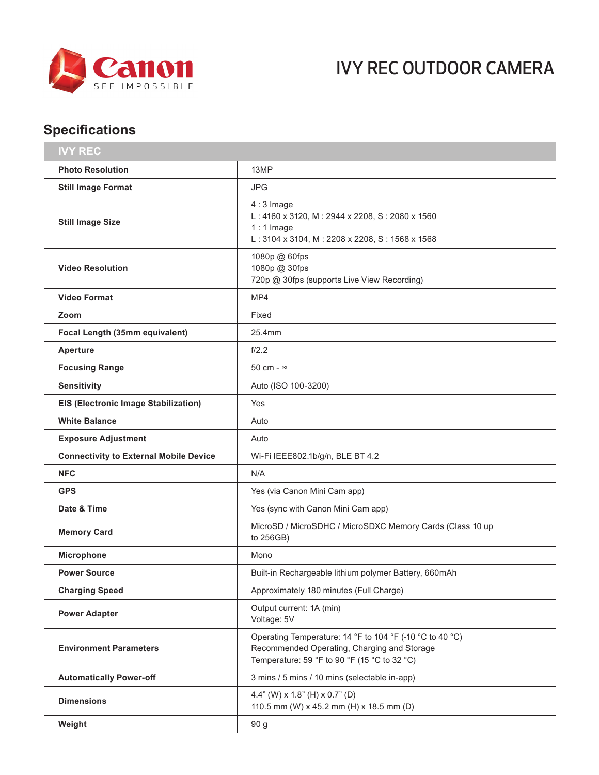

## IVY REC OUTDOOR CAMERA

## **Specifications**

| <b>IVY REC</b>                                |                                                                                                                                                         |
|-----------------------------------------------|---------------------------------------------------------------------------------------------------------------------------------------------------------|
| <b>Photo Resolution</b>                       | 13MP                                                                                                                                                    |
| <b>Still Image Format</b>                     | <b>JPG</b>                                                                                                                                              |
| <b>Still Image Size</b>                       | $4:3$ Image<br>L: 4160 x 3120, M: 2944 x 2208, S: 2080 x 1560<br>$1:1$ Image<br>L: 3104 x 3104, M: 2208 x 2208, S: 1568 x 1568                          |
| <b>Video Resolution</b>                       | 1080p @ 60fps<br>1080p @ 30fps<br>720p @ 30fps (supports Live View Recording)                                                                           |
| <b>Video Format</b>                           | MP4                                                                                                                                                     |
| Zoom                                          | Fixed                                                                                                                                                   |
| Focal Length (35mm equivalent)                | 25.4mm                                                                                                                                                  |
| <b>Aperture</b>                               | f/2.2                                                                                                                                                   |
| <b>Focusing Range</b>                         | 50 cm - $\infty$                                                                                                                                        |
| <b>Sensitivity</b>                            | Auto (ISO 100-3200)                                                                                                                                     |
| <b>EIS (Electronic Image Stabilization)</b>   | Yes                                                                                                                                                     |
| <b>White Balance</b>                          | Auto                                                                                                                                                    |
| <b>Exposure Adjustment</b>                    | Auto                                                                                                                                                    |
| <b>Connectivity to External Mobile Device</b> | Wi-Fi IEEE802.1b/g/n, BLE BT 4.2                                                                                                                        |
| <b>NFC</b>                                    | N/A                                                                                                                                                     |
| <b>GPS</b>                                    | Yes (via Canon Mini Cam app)                                                                                                                            |
| Date & Time                                   | Yes (sync with Canon Mini Cam app)                                                                                                                      |
| <b>Memory Card</b>                            | MicroSD / MicroSDHC / MicroSDXC Memory Cards (Class 10 up<br>to 256GB)                                                                                  |
| Microphone                                    | Mono                                                                                                                                                    |
| <b>Power Source</b>                           | Built-in Rechargeable lithium polymer Battery, 660mAh                                                                                                   |
| <b>Charging Speed</b>                         | Approximately 180 minutes (Full Charge)                                                                                                                 |
| <b>Power Adapter</b>                          | Output current: 1A (min)<br>Voltage: 5V                                                                                                                 |
| <b>Environment Parameters</b>                 | Operating Temperature: 14 °F to 104 °F (-10 °C to 40 °C)<br>Recommended Operating, Charging and Storage<br>Temperature: 59 °F to 90 °F (15 °C to 32 °C) |
| <b>Automatically Power-off</b>                | 3 mins / 5 mins / 10 mins (selectable in-app)                                                                                                           |
| <b>Dimensions</b>                             | 4.4" (W) $\times$ 1.8" (H) $\times$ 0.7" (D)<br>110.5 mm (W) x 45.2 mm (H) x 18.5 mm (D)                                                                |
| Weight                                        | 90 g                                                                                                                                                    |